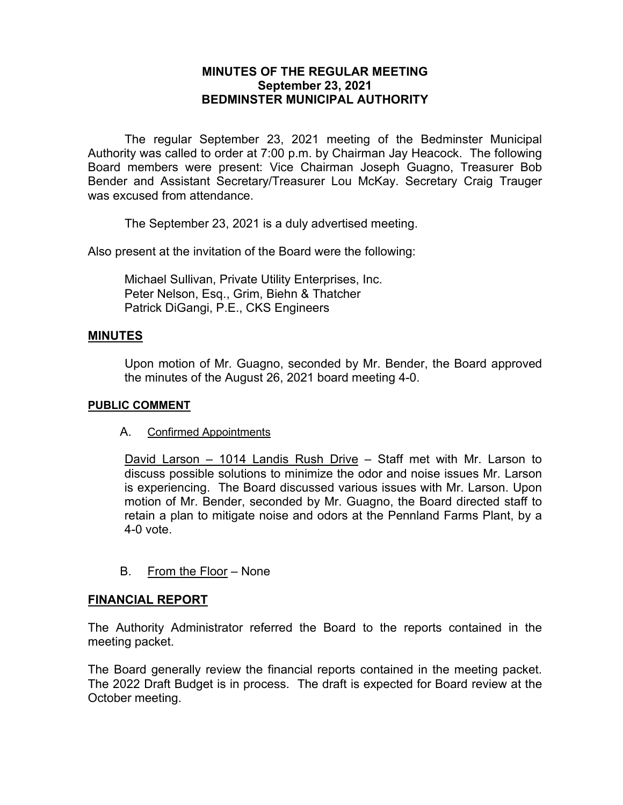# **MINUTES OF THE REGULAR MEETING September 23, 2021 BEDMINSTER MUNICIPAL AUTHORITY**

The regular September 23, 2021 meeting of the Bedminster Municipal Authority was called to order at 7:00 p.m. by Chairman Jay Heacock. The following Board members were present: Vice Chairman Joseph Guagno, Treasurer Bob Bender and Assistant Secretary/Treasurer Lou McKay. Secretary Craig Trauger was excused from attendance.

The September 23, 2021 is a duly advertised meeting.

Also present at the invitation of the Board were the following:

Michael Sullivan, Private Utility Enterprises, Inc. Peter Nelson, Esq., Grim, Biehn & Thatcher Patrick DiGangi, P.E., CKS Engineers

### **MINUTES**

Upon motion of Mr. Guagno, seconded by Mr. Bender, the Board approved the minutes of the August 26, 2021 board meeting 4-0.

### **PUBLIC COMMENT**

A. Confirmed Appointments

David Larson – 1014 Landis Rush Drive – Staff met with Mr. Larson to discuss possible solutions to minimize the odor and noise issues Mr. Larson is experiencing. The Board discussed various issues with Mr. Larson. Upon motion of Mr. Bender, seconded by Mr. Guagno, the Board directed staff to retain a plan to mitigate noise and odors at the Pennland Farms Plant, by a 4-0 vote.

B. From the Floor – None

### **FINANCIAL REPORT**

The Authority Administrator referred the Board to the reports contained in the meeting packet.

The Board generally review the financial reports contained in the meeting packet. The 2022 Draft Budget is in process. The draft is expected for Board review at the October meeting.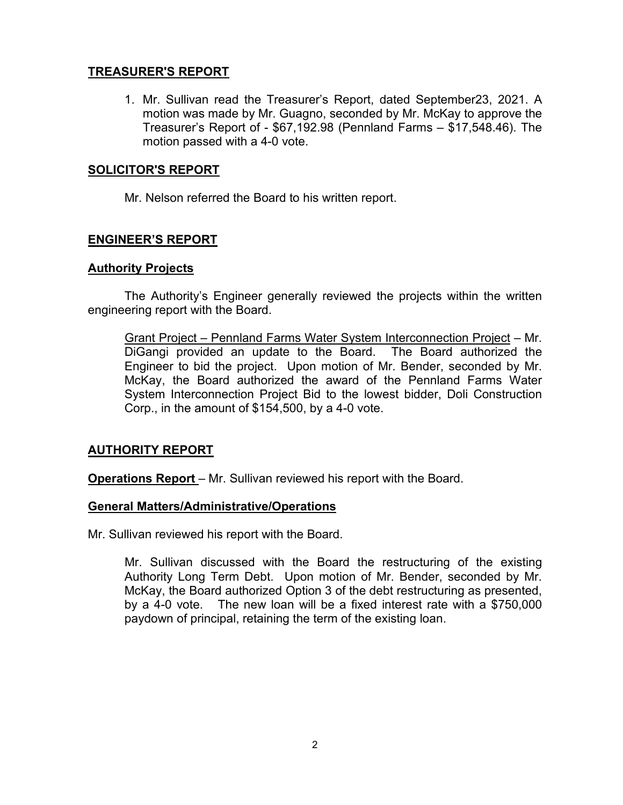# **TREASURER'S REPORT**

1. Mr. Sullivan read the Treasurer's Report, dated September23, 2021. A motion was made by Mr. Guagno, seconded by Mr. McKay to approve the Treasurer's Report of - \$67,192.98 (Pennland Farms – \$17,548.46). The motion passed with a 4-0 vote.

# **SOLICITOR'S REPORT**

Mr. Nelson referred the Board to his written report.

# **ENGINEER'S REPORT**

## **Authority Projects**

The Authority's Engineer generally reviewed the projects within the written engineering report with the Board.

Grant Project – Pennland Farms Water System Interconnection Project – Mr. DiGangi provided an update to the Board. The Board authorized the Engineer to bid the project. Upon motion of Mr. Bender, seconded by Mr. McKay, the Board authorized the award of the Pennland Farms Water System Interconnection Project Bid to the lowest bidder, Doli Construction Corp., in the amount of \$154,500, by a 4-0 vote.

## **AUTHORITY REPORT**

**Operations Report** – Mr. Sullivan reviewed his report with the Board.

## **General Matters/Administrative/Operations**

Mr. Sullivan reviewed his report with the Board.

Mr. Sullivan discussed with the Board the restructuring of the existing Authority Long Term Debt. Upon motion of Mr. Bender, seconded by Mr. McKay, the Board authorized Option 3 of the debt restructuring as presented, by a 4-0 vote. The new loan will be a fixed interest rate with a \$750,000 paydown of principal, retaining the term of the existing loan.